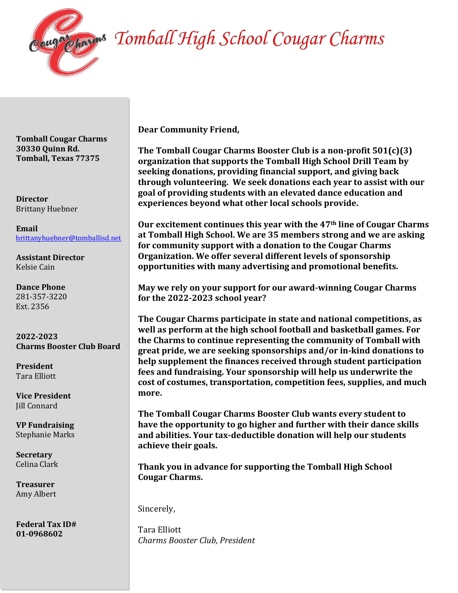

## lugh a Tomball High School Cougar Charms

**Tomball Cougar Charms 30330 Quinn Rd. Tomball, Texas 77375**

**Director**  Brittany Huebner

**Email** brittanyhuebner@tomballisd.net

**Assistant Director** Kelsie Cain

**Dance Phone** 281-357-3220 Ext. 2356

**2022-2023 Charms Booster Club Board**

**President**  Tara Elliott

**Vice President** Jill Connard

**VP Fundraising** Stephanie Marks

**Secretary**  Celina Clark

**Treasurer** Amy Albert

**Federal Tax ID# 01-0968602**

**Dear Community Friend,** 

**The Tomball Cougar Charms Booster Club is a non-profit 501(c)(3) organization that supports the Tomball High School Drill Team by seeking donations, providing financial support, and giving back through volunteering. We seek donations each year to assist with our goal of providing students with an elevated dance education and experiences beyond what other local schools provide.** 

**Our excitement continues this year with the 47th line of Cougar Charms at Tomball High School. We are 35 members strong and we are asking for community support with a donation to the Cougar Charms Organization. We offer several different levels of sponsorship opportunities with many advertising and promotional benefits.** 

**May we rely on your support for our award-winning Cougar Charms for the 2022-2023 school year?**

**The Cougar Charms participate in state and national competitions, as well as perform at the high school football and basketball games. For the Charms to continue representing the community of Tomball with great pride, we are seeking sponsorships and/or in-kind donations to help supplement the finances received through student participation fees and fundraising. Your sponsorship will help us underwrite the cost of costumes, transportation, competition fees, supplies, and much more.**

**The Tomball Cougar Charms Booster Club wants every student to have the opportunity to go higher and further with their dance skills and abilities. Your tax-deductible donation will help our students achieve their goals.**

**Thank you in advance for supporting the Tomball High School Cougar Charms.**

Sincerely,

Tara Elliott *Charms Booster Club, President*